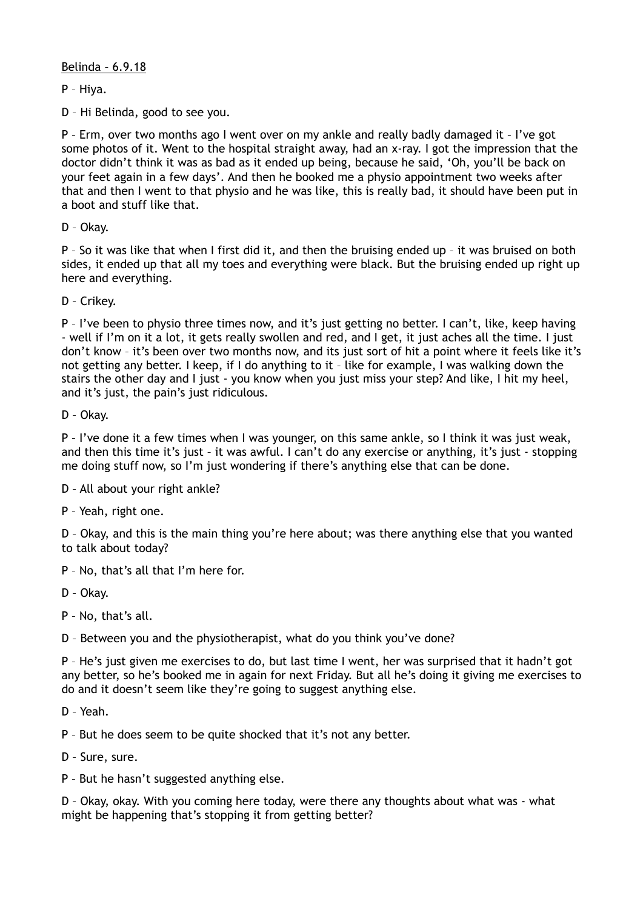Belinda – 6.9.18

P – Hiya.

D – Hi Belinda, good to see you.

P – Erm, over two months ago I went over on my ankle and really badly damaged it – I've got some photos of it. Went to the hospital straight away, had an x-ray. I got the impression that the doctor didn't think it was as bad as it ended up being, because he said, 'Oh, you'll be back on your feet again in a few days'. And then he booked me a physio appointment two weeks after that and then I went to that physio and he was like, this is really bad, it should have been put in a boot and stuff like that.

D – Okay.

P – So it was like that when I first did it, and then the bruising ended up – it was bruised on both sides, it ended up that all my toes and everything were black. But the bruising ended up right up here and everything.

D – Crikey.

P – I've been to physio three times now, and it's just getting no better. I can't, like, keep having - well if I'm on it a lot, it gets really swollen and red, and I get, it just aches all the time. I just don't know – it's been over two months now, and its just sort of hit a point where it feels like it's not getting any better. I keep, if I do anything to it – like for example, I was walking down the stairs the other day and I just - you know when you just miss your step? And like, I hit my heel, and it's just, the pain's just ridiculous.

D – Okay.

P – I've done it a few times when I was younger, on this same ankle, so I think it was just weak, and then this time it's just – it was awful. I can't do any exercise or anything, it's just - stopping me doing stuff now, so I'm just wondering if there's anything else that can be done.

D – All about your right ankle?

P – Yeah, right one.

D – Okay, and this is the main thing you're here about; was there anything else that you wanted to talk about today?

P – No, that's all that I'm here for.

D – Okay.

P – No, that's all.

D – Between you and the physiotherapist, what do you think you've done?

P – He's just given me exercises to do, but last time I went, her was surprised that it hadn't got any better, so he's booked me in again for next Friday. But all he's doing it giving me exercises to do and it doesn't seem like they're going to suggest anything else.

D – Yeah.

P – But he does seem to be quite shocked that it's not any better.

D – Sure, sure.

P – But he hasn't suggested anything else.

D – Okay, okay. With you coming here today, were there any thoughts about what was - what might be happening that's stopping it from getting better?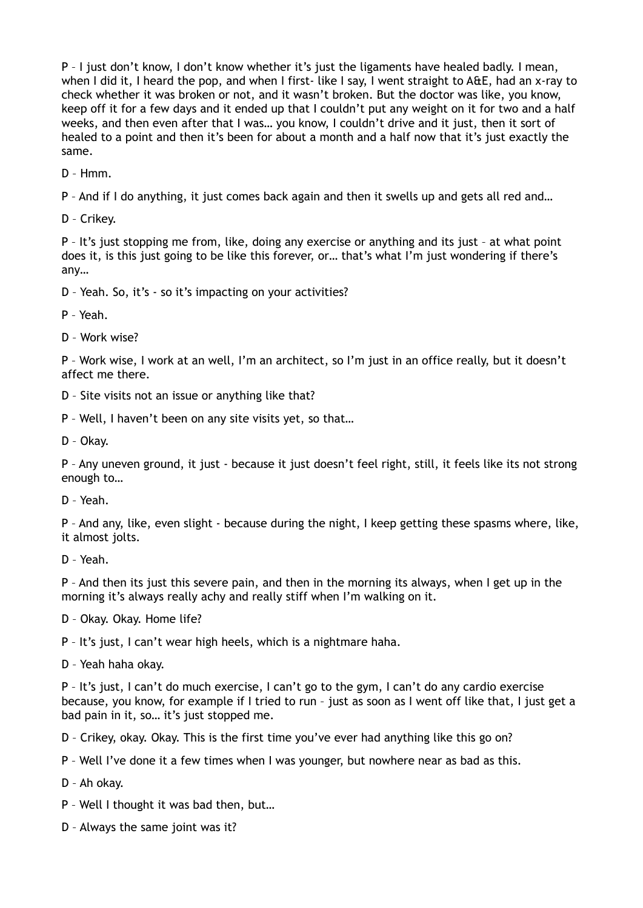P – I just don't know, I don't know whether it's just the ligaments have healed badly. I mean, when I did it, I heard the pop, and when I first- like I say, I went straight to A&E, had an x-ray to check whether it was broken or not, and it wasn't broken. But the doctor was like, you know, keep off it for a few days and it ended up that I couldn't put any weight on it for two and a half weeks, and then even after that I was… you know, I couldn't drive and it just, then it sort of healed to a point and then it's been for about a month and a half now that it's just exactly the same.

D – Hmm.

P – And if I do anything, it just comes back again and then it swells up and gets all red and…

D – Crikey.

P – It's just stopping me from, like, doing any exercise or anything and its just – at what point does it, is this just going to be like this forever, or… that's what I'm just wondering if there's any…

D – Yeah. So, it's - so it's impacting on your activities?

P – Yeah.

D – Work wise?

P – Work wise, I work at an well, I'm an architect, so I'm just in an office really, but it doesn't affect me there.

D – Site visits not an issue or anything like that?

P – Well, I haven't been on any site visits yet, so that…

D – Okay.

P – Any uneven ground, it just - because it just doesn't feel right, still, it feels like its not strong enough to…

D – Yeah.

P – And any, like, even slight - because during the night, I keep getting these spasms where, like, it almost jolts.

D – Yeah.

P – And then its just this severe pain, and then in the morning its always, when I get up in the morning it's always really achy and really stiff when I'm walking on it.

D – Okay. Okay. Home life?

P – It's just, I can't wear high heels, which is a nightmare haha.

D – Yeah haha okay.

P – It's just, I can't do much exercise, I can't go to the gym, I can't do any cardio exercise because, you know, for example if I tried to run – just as soon as I went off like that, I just get a bad pain in it, so… it's just stopped me.

D – Crikey, okay. Okay. This is the first time you've ever had anything like this go on?

P – Well I've done it a few times when I was younger, but nowhere near as bad as this.

D – Ah okay.

P – Well I thought it was bad then, but…

D – Always the same joint was it?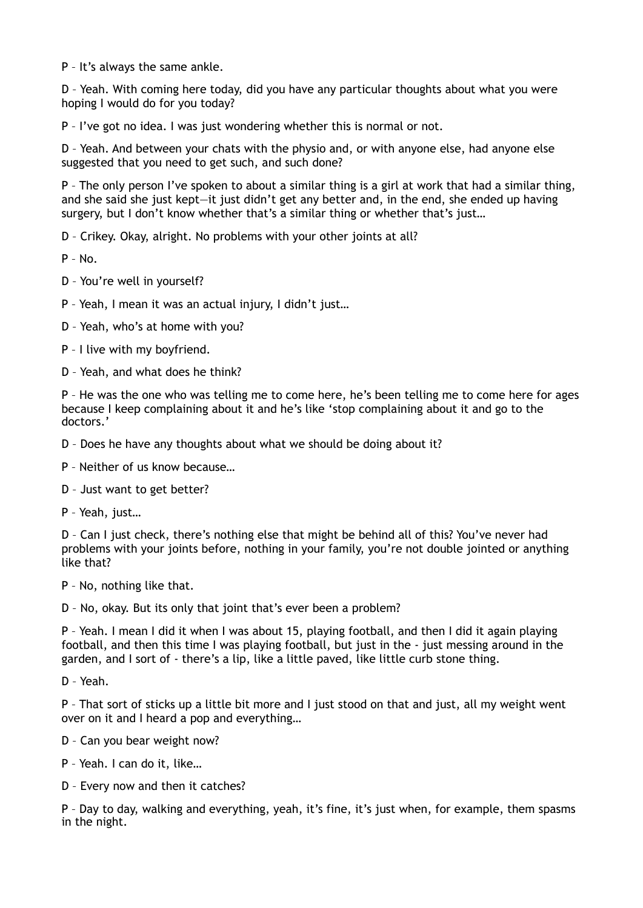P – It's always the same ankle.

D – Yeah. With coming here today, did you have any particular thoughts about what you were hoping I would do for you today?

P – I've got no idea. I was just wondering whether this is normal or not.

D – Yeah. And between your chats with the physio and, or with anyone else, had anyone else suggested that you need to get such, and such done?

P – The only person I've spoken to about a similar thing is a girl at work that had a similar thing, and she said she just kept—it just didn't get any better and, in the end, she ended up having surgery, but I don't know whether that's a similar thing or whether that's just...

D – Crikey. Okay, alright. No problems with your other joints at all?

 $P - N<sub>0</sub>$ 

D – You're well in yourself?

P – Yeah, I mean it was an actual injury, I didn't just…

D – Yeah, who's at home with you?

P – I live with my boyfriend.

D – Yeah, and what does he think?

P – He was the one who was telling me to come here, he's been telling me to come here for ages because I keep complaining about it and he's like 'stop complaining about it and go to the doctors.'

D – Does he have any thoughts about what we should be doing about it?

P – Neither of us know because…

D – Just want to get better?

P – Yeah, just…

D – Can I just check, there's nothing else that might be behind all of this? You've never had problems with your joints before, nothing in your family, you're not double jointed or anything like that?

P – No, nothing like that.

D – No, okay. But its only that joint that's ever been a problem?

P – Yeah. I mean I did it when I was about 15, playing football, and then I did it again playing football, and then this time I was playing football, but just in the - just messing around in the garden, and I sort of - there's a lip, like a little paved, like little curb stone thing.

D – Yeah.

P – That sort of sticks up a little bit more and I just stood on that and just, all my weight went over on it and I heard a pop and everything…

D – Can you bear weight now?

P – Yeah. I can do it, like…

D – Every now and then it catches?

P – Day to day, walking and everything, yeah, it's fine, it's just when, for example, them spasms in the night.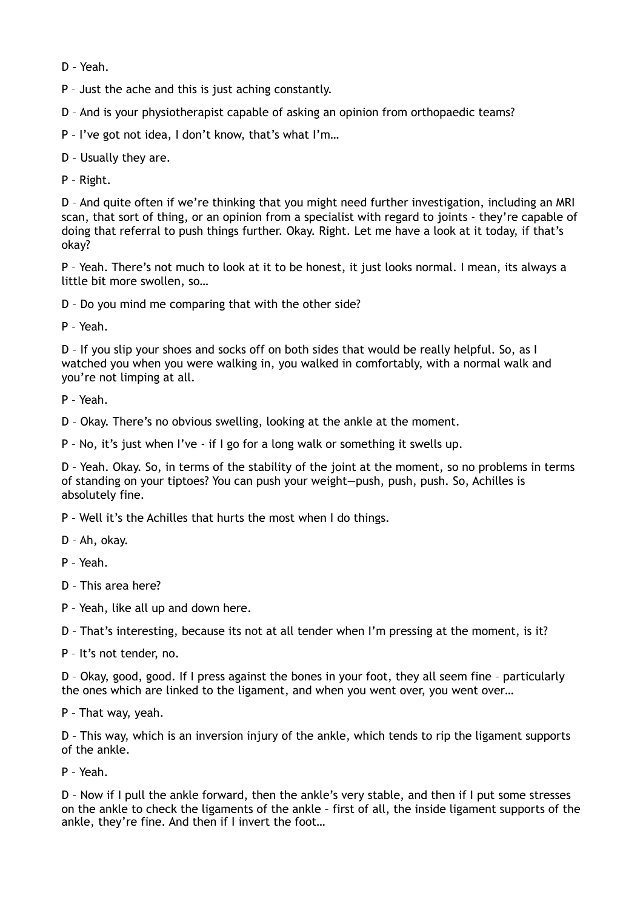D – Yeah.

P – Just the ache and this is just aching constantly.

D – And is your physiotherapist capable of asking an opinion from orthopaedic teams?

P – I've got not idea, I don't know, that's what I'm…

D – Usually they are.

P – Right.

D – And quite often if we're thinking that you might need further investigation, including an MRI scan, that sort of thing, or an opinion from a specialist with regard to joints - they're capable of doing that referral to push things further. Okay. Right. Let me have a look at it today, if that's okay?

P – Yeah. There's not much to look at it to be honest, it just looks normal. I mean, its always a little bit more swollen, so…

D – Do you mind me comparing that with the other side?

P – Yeah.

D – If you slip your shoes and socks off on both sides that would be really helpful. So, as I watched you when you were walking in, you walked in comfortably, with a normal walk and you're not limping at all.

P – Yeah.

D – Okay. There's no obvious swelling, looking at the ankle at the moment.

P – No, it's just when I've - if I go for a long walk or something it swells up.

D – Yeah. Okay. So, in terms of the stability of the joint at the moment, so no problems in terms of standing on your tiptoes? You can push your weight—push, push, push. So, Achilles is absolutely fine.

P – Well it's the Achilles that hurts the most when I do things.

D – Ah, okay.

P – Yeah.

D – This area here?

P – Yeah, like all up and down here.

D – That's interesting, because its not at all tender when I'm pressing at the moment, is it?

P – It's not tender, no.

D – Okay, good, good. If I press against the bones in your foot, they all seem fine – particularly the ones which are linked to the ligament, and when you went over, you went over…

P – That way, yeah.

D – This way, which is an inversion injury of the ankle, which tends to rip the ligament supports of the ankle.

P – Yeah.

D – Now if I pull the ankle forward, then the ankle's very stable, and then if I put some stresses on the ankle to check the ligaments of the ankle – first of all, the inside ligament supports of the ankle, they're fine. And then if I invert the foot…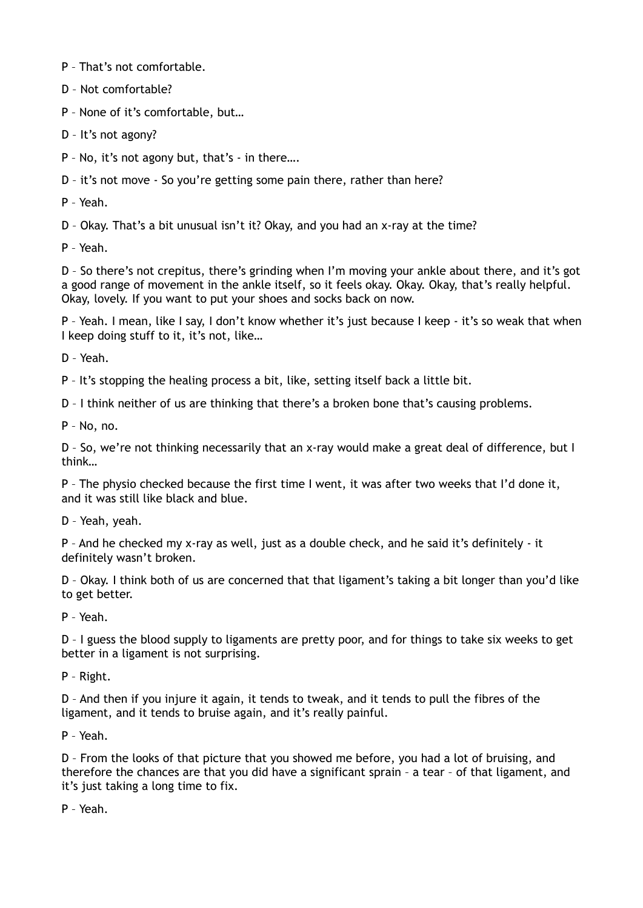P – That's not comfortable.

D – Not comfortable?

P – None of it's comfortable, but…

D – It's not agony?

P – No, it's not agony but, that's - in there….

D – it's not move - So you're getting some pain there, rather than here?

P – Yeah.

D – Okay. That's a bit unusual isn't it? Okay, and you had an x-ray at the time?

P – Yeah.

D – So there's not crepitus, there's grinding when I'm moving your ankle about there, and it's got a good range of movement in the ankle itself, so it feels okay. Okay. Okay, that's really helpful. Okay, lovely. If you want to put your shoes and socks back on now.

P – Yeah. I mean, like I say, I don't know whether it's just because I keep - it's so weak that when I keep doing stuff to it, it's not, like…

D – Yeah.

P – It's stopping the healing process a bit, like, setting itself back a little bit.

D – I think neither of us are thinking that there's a broken bone that's causing problems.

P – No, no.

D – So, we're not thinking necessarily that an x-ray would make a great deal of difference, but I think…

P – The physio checked because the first time I went, it was after two weeks that I'd done it, and it was still like black and blue.

D – Yeah, yeah.

P – And he checked my x-ray as well, just as a double check, and he said it's definitely - it definitely wasn't broken.

D – Okay. I think both of us are concerned that that ligament's taking a bit longer than you'd like to get better.

P – Yeah.

D – I guess the blood supply to ligaments are pretty poor, and for things to take six weeks to get better in a ligament is not surprising.

P – Right.

D – And then if you injure it again, it tends to tweak, and it tends to pull the fibres of the ligament, and it tends to bruise again, and it's really painful.

P – Yeah.

D – From the looks of that picture that you showed me before, you had a lot of bruising, and therefore the chances are that you did have a significant sprain – a tear – of that ligament, and it's just taking a long time to fix.

P – Yeah.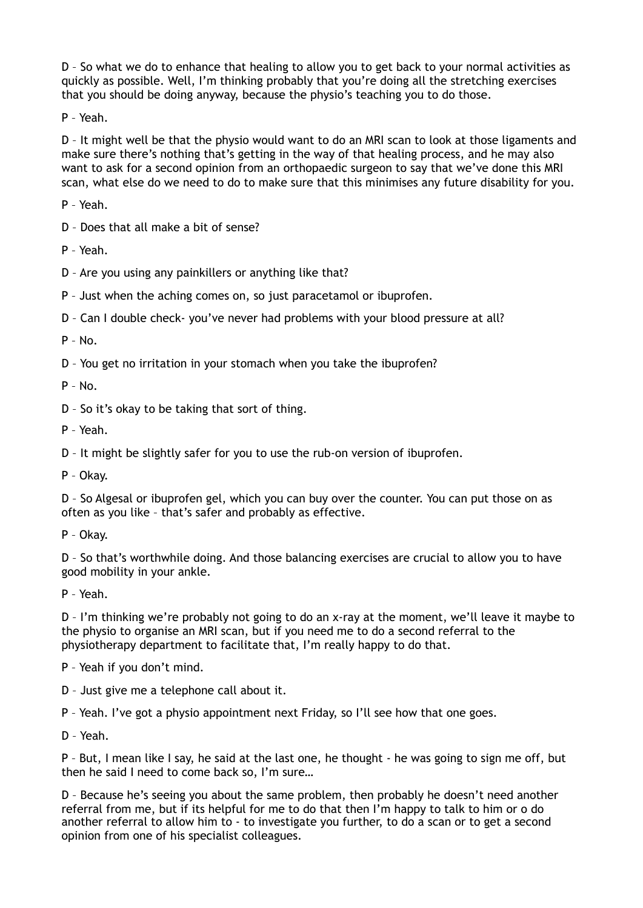D – So what we do to enhance that healing to allow you to get back to your normal activities as quickly as possible. Well, I'm thinking probably that you're doing all the stretching exercises that you should be doing anyway, because the physio's teaching you to do those.

P – Yeah.

D – It might well be that the physio would want to do an MRI scan to look at those ligaments and make sure there's nothing that's getting in the way of that healing process, and he may also want to ask for a second opinion from an orthopaedic surgeon to say that we've done this MRI scan, what else do we need to do to make sure that this minimises any future disability for you.

P – Yeah.

D – Does that all make a bit of sense?

P – Yeah.

D – Are you using any painkillers or anything like that?

P – Just when the aching comes on, so just paracetamol or ibuprofen.

D – Can I double check- you've never had problems with your blood pressure at all?

P – No.

D – You get no irritation in your stomach when you take the ibuprofen?

 $P - No.$ 

D – So it's okay to be taking that sort of thing.

P – Yeah.

D – It might be slightly safer for you to use the rub-on version of ibuprofen.

P – Okay.

D – So Algesal or ibuprofen gel, which you can buy over the counter. You can put those on as often as you like – that's safer and probably as effective.

P – Okay.

D – So that's worthwhile doing. And those balancing exercises are crucial to allow you to have good mobility in your ankle.

P – Yeah.

D – I'm thinking we're probably not going to do an x-ray at the moment, we'll leave it maybe to the physio to organise an MRI scan, but if you need me to do a second referral to the physiotherapy department to facilitate that, I'm really happy to do that.

P – Yeah if you don't mind.

D – Just give me a telephone call about it.

P – Yeah. I've got a physio appointment next Friday, so I'll see how that one goes.

D – Yeah.

P – But, I mean like I say, he said at the last one, he thought - he was going to sign me off, but then he said I need to come back so, I'm sure…

D – Because he's seeing you about the same problem, then probably he doesn't need another referral from me, but if its helpful for me to do that then I'm happy to talk to him or o do another referral to allow him to - to investigate you further, to do a scan or to get a second opinion from one of his specialist colleagues.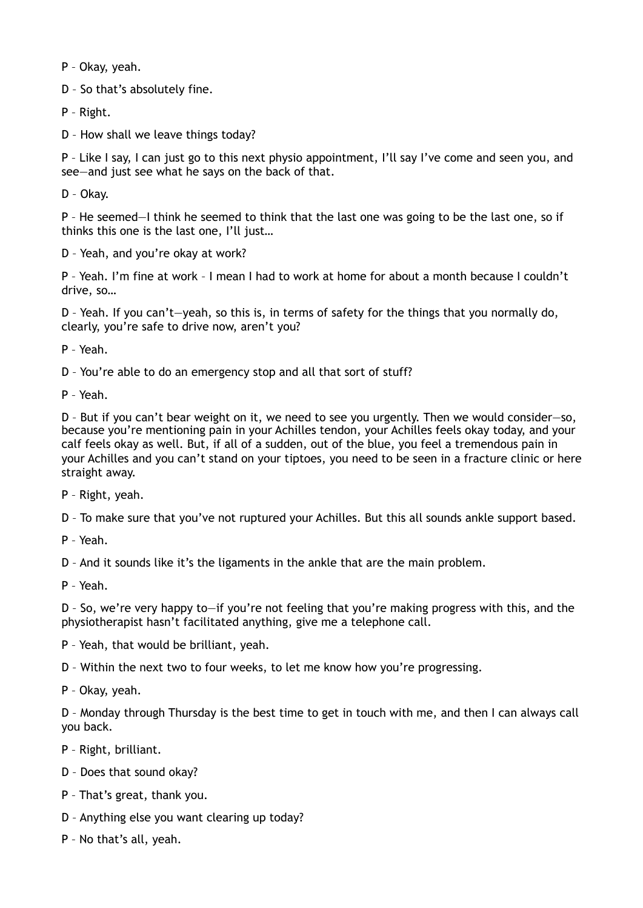P – Okay, yeah.

D – So that's absolutely fine.

P – Right.

D – How shall we leave things today?

P – Like I say, I can just go to this next physio appointment, I'll say I've come and seen you, and see—and just see what he says on the back of that.

D – Okay.

P – He seemed—I think he seemed to think that the last one was going to be the last one, so if thinks this one is the last one, I'll just…

D – Yeah, and you're okay at work?

P – Yeah. I'm fine at work – I mean I had to work at home for about a month because I couldn't drive, so…

D – Yeah. If you can't—yeah, so this is, in terms of safety for the things that you normally do, clearly, you're safe to drive now, aren't you?

P – Yeah.

D – You're able to do an emergency stop and all that sort of stuff?

P – Yeah.

D – But if you can't bear weight on it, we need to see you urgently. Then we would consider—so, because you're mentioning pain in your Achilles tendon, your Achilles feels okay today, and your calf feels okay as well. But, if all of a sudden, out of the blue, you feel a tremendous pain in your Achilles and you can't stand on your tiptoes, you need to be seen in a fracture clinic or here straight away.

P – Right, yeah.

D – To make sure that you've not ruptured your Achilles. But this all sounds ankle support based.

P – Yeah.

D – And it sounds like it's the ligaments in the ankle that are the main problem.

P – Yeah.

D – So, we're very happy to—if you're not feeling that you're making progress with this, and the physiotherapist hasn't facilitated anything, give me a telephone call.

P – Yeah, that would be brilliant, yeah.

D – Within the next two to four weeks, to let me know how you're progressing.

P – Okay, yeah.

D – Monday through Thursday is the best time to get in touch with me, and then I can always call you back.

P – Right, brilliant.

D – Does that sound okay?

P – That's great, thank you.

D – Anything else you want clearing up today?

P – No that's all, yeah.